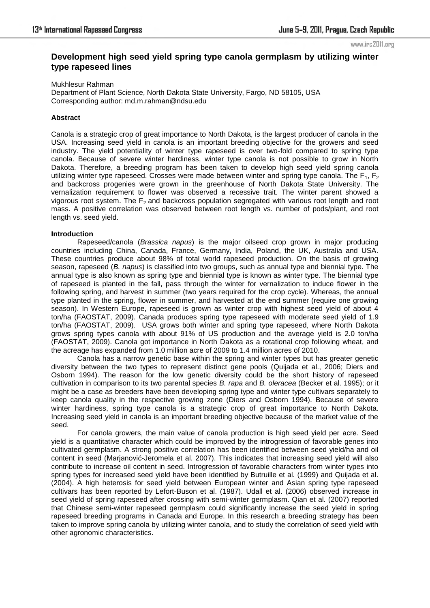#### www.irc2011.org

# **Development high seed yield spring type canola germplasm by utilizing winter type rapeseed lines**

Mukhlesur Rahman Department of Plant Science, North Dakota State University, Fargo, ND 58105, USA Corresponding author: md.m.rahman@ndsu.edu

## **Abstract**

Canola is a strategic crop of great importance to North Dakota, is the largest producer of canola in the USA. Increasing seed yield in canola is an important breeding objective for the growers and seed industry. The yield potentiality of winter type rapeseed is over two-fold compared to spring type canola. Because of severe winter hardiness, winter type canola is not possible to grow in North Dakota. Therefore, a breeding program has been taken to develop high seed yield spring canola utilizing winter type rapeseed. Crosses were made between winter and spring type canola. The  $F_1$ ,  $F_2$ and backcross progenies were grown in the greenhouse of North Dakota State University. The vernalization requirement to flower was observed a recessive trait. The winter parent showed a vigorous root system. The  $F<sub>2</sub>$  and backcross population segregated with various root length and root mass. A positive correlation was observed between root length vs. number of pods/plant, and root length vs. seed yield.

# **Introduction**

Rapeseed/canola (*Brassica napus*) is the major oilseed crop grown in major producing countries including China, Canada, France, Germany, India, Poland, the UK, Australia and USA. These countries produce about 98% of total world rapeseed production. On the basis of growing season, rapeseed (*B. napus*) is classified into two groups, such as annual type and biennial type. The annual type is also known as spring type and biennial type is known as winter type. The biennial type of rapeseed is planted in the fall, pass through the winter for vernalization to induce flower in the following spring, and harvest in summer (two years required for the crop cycle). Whereas, the annual type planted in the spring, flower in summer, and harvested at the end summer (require one growing season). In Western Europe, rapeseed is grown as winter crop with highest seed yield of about 4 ton/ha (FAOSTAT, 2009). Canada produces spring type rapeseed with moderate seed yield of 1.9 ton/ha (FAOSTAT, 2009). USA grows both winter and spring type rapeseed, where North Dakota grows spring types canola with about 91% of US production and the average yield is 2.0 ton/ha (FAOSTAT, 2009). Canola got importance in North Dakota as a rotational crop following wheat, and the acreage has expanded from 1.0 million acre of 2009 to 1.4 million acres of 2010.

Canola has a narrow genetic base within the spring and winter types but has greater genetic diversity between the two types to represent distinct gene pools (Quijada et al., 2006; Diers and Osborn 1994). The reason for the low genetic diversity could be the short history of rapeseed cultivation in comparison to its two parental species *B. rapa* and *B. oleracea* (Becker et al. 1995); or it might be a case as breeders have been developing spring type and winter type cultivars separately to keep canola quality in the respective growing zone (Diers and Osborn 1994). Because of severe winter hardiness, spring type canola is a strategic crop of great importance to North Dakota. Increasing seed yield in canola is an important breeding objective because of the market value of the seed.

For canola growers, the main value of canola production is high seed yield per acre. Seed yield is a quantitative character which could be improved by the introgression of favorable genes into cultivated germplasm. A strong positive correlation has been identified between seed yield/ha and oil content in seed (Marjanović-Jeromela et al. 2007). This indicates that increasing seed yield will also contribute to increase oil content in seed. Introgression of favorable characters from winter types into spring types for increased seed yield have been identified by Butruille et al. (1999) and Quijada et al. (2004). A high heterosis for seed yield between European winter and Asian spring type rapeseed cultivars has been reported by Lefort-Buson et al. (1987). Udall et al. (2006) observed increase in seed yield of spring rapeseed after crossing with semi-winter germplasm. Qian et al. (2007) reported that Chinese semi-winter rapeseed germplasm could significantly increase the seed yield in spring rapeseed breeding programs in Canada and Europe. In this research a breeding strategy has been taken to improve spring canola by utilizing winter canola, and to study the correlation of seed yield with other agronomic characteristics.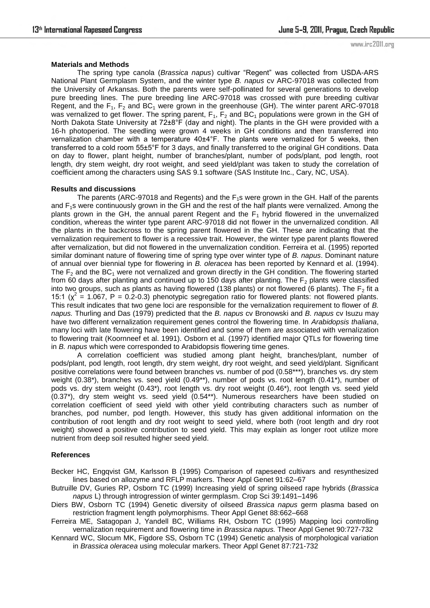www.irc2011.org

#### **Materials and Methods**

The spring type canola (*Brassica napus*) cultivar "Regent" was collected from USDA-ARS National Plant Germplasm System, and the winter type *B. napus* cv ARC-97018 was collected from the University of Arkansas. Both the parents were self-pollinated for several generations to develop pure breeding lines. The pure breeding line ARC-97018 was crossed with pure breeding cultivar Regent, and the  $F_1$ ,  $F_2$  and BC<sub>1</sub> were grown in the greenhouse (GH). The winter parent ARC-97018 was vernalized to get flower. The spring parent,  $F_1$ ,  $F_2$  and BC<sub>1</sub> populations were grown in the GH of North Dakota State University at 72±8°F (day and night). The plants in the GH were provided with a 16-h photoperiod. The seedling were grown 4 weeks in GH conditions and then transferred into vernalization chamber with a temperature 40±4°F. The plants were vernalized for 5 weeks, then transferred to a cold room 55±5°F for 3 days, and finally transferred to the original GH conditions. Data on day to flower, plant height, number of branches/plant, number of pods/plant, pod length, root length, dry stem weight, dry root weight, and seed yield/plant was taken to study the correlation of coefficient among the characters using SAS 9.1 software (SAS Institute Inc., Cary, NC, USA).

#### **Results and discussions**

The parents (ARC-97018 and Regents) and the  $F_1$ s were grown in the GH. Half of the parents and F<sub>1</sub>s were continuously grown in the GH and the rest of the half plants were vernalized. Among the plants grown in the GH, the annual parent Regent and the  $F_1$  hybrid flowered in the unvernalized condition, whereas the winter type parent ARC-97018 did not flower in the unvernalized condition. All the plants in the backcross to the spring parent flowered in the GH. These are indicating that the vernalization requirement to flower is a recessive trait. However, the winter type parent plants flowered after vernalization, but did not flowered in the unvernalization condition. Ferreira et al. (1995) reported similar dominant nature of flowering time of spring type over winter type of *B. napus*. Dominant nature of annual over biennial type for flowering in *B. oleracea* has been reported by Kennard et al. (1994). The  $F_2$  and the BC<sub>1</sub> were not vernalized and grown directly in the GH condition. The flowering started from 60 days after planting and continued up to 150 days after planting. The  $F_2$  plants were classified into two groups, such as plants as having flowered (138 plants) or not flowered (6 plants). The  $F_2$  fit a 15:1 ( $\chi^2$  = 1.067, P = 0.2-0.3) phenotypic segregation ratio for flowered plants: not flowered plants. This result indicates that two gene loci are responsible for the vernalization requirement to flower of *B. napus.* Thurling and Das (1979) predicted that the *B. napus* cv Bronowski and *B. napus* cv Isuzu may have two different vernalization requirement genes control the flowering time. In *Arabidopsis thaliana*, many loci with late flowering have been identified and some of them are associated with vernalization to flowering trait (Koornneef et al. 1991). Osborn et al. (1997) identified major QTLs for flowering time in *B. napus* which were corresponded to Arabidopsis flowering time genes.

A correlation coefficient was studied among plant height, branches/plant, number of pods/plant, pod length, root length, dry stem weight, dry root weight, and seed yield/plant. Significant positive correlations were found between branches vs. number of pod (0.58\*\*\*), branches vs. dry stem weight (0.38\*), branches vs. seed yield (0.49\*\*), number of pods vs. root length (0.41\*), number of pods vs. dry stem weight (0.43\*), root length vs. dry root weight (0.46\*), root length vs. seed yield (0.37\*), dry stem weight vs. seed yield (0.54\*\*). Numerous researchers have been studied on correlation coefficient of seed yield with other yield contributing characters such as number of branches, pod number, pod length. However, this study has given additional information on the contribution of root length and dry root weight to seed yield, where both (root length and dry root weight) showed a positive contribution to seed yield. This may explain as longer root utilize more nutrient from deep soil resulted higher seed yield.

## **References**

Becker HC, Engqvist GM, Karlsson B (1995) Comparison of rapeseed cultivars and resynthesized lines based on allozyme and RFLP markers. Theor Appl Genet 91:62–67

- Butruille DV, Guries RP, Osborn TC (1999) Increasing yield of spring oilseed rape hybrids (*Brassica napus* L) through introgression of winter germplasm. Crop Sci 39:1491–1496
- Diers BW, Osborn TC (1994) Genetic diversity of oilseed *Brassica napus* germ plasma based on restriction fragment length polymorphisms. Theor Appl Genet 88:662–668
- Ferreira ME, Satagopan J, Yandell BC, Williams RH, Osborn TC (1995) Mapping loci controlling vernalization requirement and flowering time in *Brassica napus.* Theor Appl Genet 90:727-732
- Kennard WC, Slocum MK, Figdore SS, Osborn TC (1994) Genetic analysis of morphological variation in *Brassica oleracea* using molecular markers. Theor Appl Genet 87:721-732